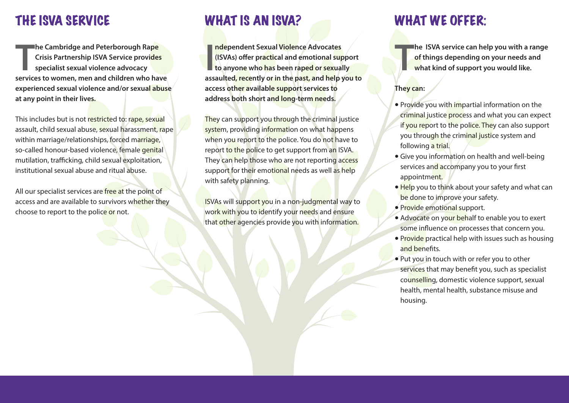**The Cambridge and Peterborough Rape<br>
Crisis Partnership ISVA Service provides<br>
specialist sexual violence advocacy<br>
services to women, men and children who have he Cambridge and Peterborough Rape Crisis Partnership ISVA Service provides specialist sexual violence advocacy experienced sexual violence and/or sexual abuse at any point in their lives.**

This includes but is not restricted to: rape, sexual assault, child sexual abuse, sexual harassment, rape within marriage/relationships, forced marriage, so-called honour-based violence, female genital mutilation, trafficking, child sexual exploitation, institutional sexual abuse and ritual abuse.

All our specialist services are free at the point of access and are available to survivors whether they choose to report to the police or not.

## THE ISVA SERVICE WHAT IS AN ISVA? WHAT WE OFFER:

**I**<br> **I assaulted, recently** or **in** the past, and **elp** you to<br> **assaulted, recently** or **in** the past, and help you to **ndependent Sexual Violence Advocates (ISVAs) offer practical and emotional support to anyone who has been raped or sexually access other available support services to address both short and long-term needs.**

They can support you through the criminal justice system, providing information on what happens when you report to the police. You do not have to report to the police to get support from an ISVA. They can help those who are not reporting access support for their emotional needs as well as help with safety planning.

ISVAs will support you in a non-judgmental way to work with you to identify your needs and ensure that other agencies provide you with information.

**T he ISVA service can help you with a range of things depending on your needs and what kind of support you would like.**

### **They can:**

- Provide you with impartial information on the criminal justice process and what you can expect if you report to the police. They can also support you through the criminal justice system and following a trial.
- Give you information on health and well-being services and accompany you to your first appointment.
- Help you to think about your safety and what can be done to improve your safety.
- 5 Provide emotional support.
- Advocate on your behalf to enable you to exert some influence on processes that concern you.
- Provide practical help with issues such as housing and benefits.
- 5 Put you in touch with or refer you to other services that may benefit you, such as specialist counselling, domestic violence support, sexual health, mental health, substance misuse and housing.